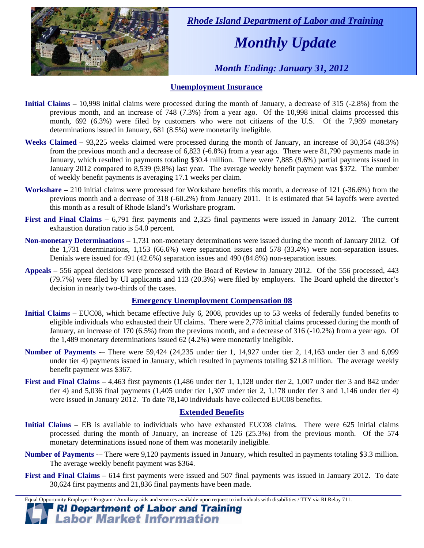

 *Rhode Island Department of Labor and Training* 

# *Monthly Update*

 *Month Ending: January 31, 2012* 

### **Unemployment Insurance**

- **Initial Claims** 10,998 initial claims were processed during the month of January, a decrease of 315 (-2.8%) from the previous month, and an increase of 748 (7.3%) from a year ago. Of the 10,998 initial claims processed this month, 692 (6.3%) were filed by customers who were not citizens of the U.S. Of the 7,989 monetary determinations issued in January, 681 (8.5%) were monetarily ineligible.
- **Weeks Claimed** 93,225 weeks claimed were processed during the month of January, an increase of 30,354 (48.3%) from the previous month and a decrease of 6,823 (-6.8%) from a year ago. There were 81,790 payments made in January, which resulted in payments totaling \$30.4 million. There were 7,885 (9.6%) partial payments issued in January 2012 compared to 8,539 (9.8%) last year. The average weekly benefit payment was \$372. The number of weekly benefit payments is averaging 17.1 weeks per claim.
- **Workshare –** 210 initial claims were processed for Workshare benefits this month, a decrease of 121 (-36.6%) from the previous month and a decrease of 318 (-60.2%) from January 2011. It is estimated that 54 layoffs were averted this month as a result of Rhode Island's Workshare program.
- **First and Final Claims –** 6,791 first payments and 2,325 final payments were issued in January 2012. The current exhaustion duration ratio is 54.0 percent.
- **Non-monetary Determinations –** 1,731 non-monetary determinations were issued during the month of January 2012. Of the 1,731 determinations, 1,153 (66.6%) were separation issues and 578 (33.4%) were non-separation issues. Denials were issued for 491 (42.6%) separation issues and 490 (84.8%) non-separation issues.
- **Appeals** 556 appeal decisions were processed with the Board of Review in January 2012. Of the 556 processed, 443 (79.7%) were filed by UI applicants and 113 (20.3%) were filed by employers. The Board upheld the director's decision in nearly two-thirds of the cases.

### **Emergency Unemployment Compensation 08**

- **Initial Claims**  EUC08, which became effective July 6, 2008, provides up to 53 weeks of federally funded benefits to eligible individuals who exhausted their UI claims. There were 2,778 initial claims processed during the month of January, an increase of 170 (6.5%) from the previous month, and a decrease of 316 (-10.2%) from a year ago. Of the 1,489 monetary determinations issued  $62(4.2%)$  were monetarily ineligible.
- **Number of Payments** -– There were 59,424 (24,235 under tier 1, 14,927 under tier 2, 14,163 under tier 3 and 6,099 under tier 4) payments issued in January, which resulted in payments totaling \$21.8 million. The average weekly benefit payment was \$367.
- **First and Final Claims**  4,463 first payments (1,486 under tier 1, 1,128 under tier 2, 1,007 under tier 3 and 842 under tier 4) and 5,036 final payments (1,405 under tier 1,307 under tier 2, 1,178 under tier 3 and 1,146 under tier 4) were issued in January 2012. To date 78,140 individuals have collected EUC08 benefits.

### **Extended Benefits**

- **Initial Claims**  EB is available to individuals who have exhausted EUC08 claims. There were 625 initial claims processed during the month of January, an increase of 126 (25.3%) from the previous month. Of the 574 monetary determinations issued none of them was monetarily ineligible.
- **Number of Payments** -– There were 9,120 payments issued in January, which resulted in payments totaling \$3.3 million. The average weekly benefit payment was \$364.
- **First and Final Claims**  614 first payments were issued and 507 final payments was issued in January 2012. To date 30,624 first payments and 21,836 final payments have been made.

Equal Opportunity Employer / Program / Auxiliary aids and services available upon request to individuals with disabilities / TTY via RI Relay 711.

**RI Department of Labor and Training Labor Market Information**